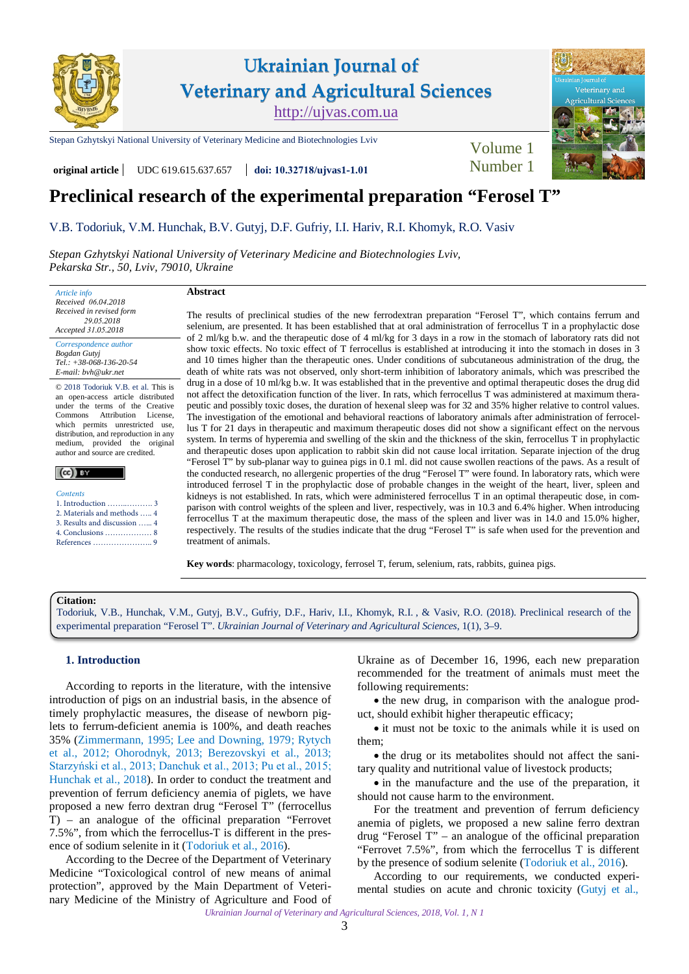

[Stepan Gzhytskyi National University of Veterinary Medicine and Biotechnologies Lviv](https://lvet.edu.ua) Volume 1

**original article** UDC 619.615.637.657 **doi: [10.32718](https://doi.org/10.32718/ujvas1-1.01)/ujvas1-1.0<sup>1</sup>** Number 1



# **Preclinical research of the experimental preparation "Ferosel T"**

[V.B. Todoriuk,](https://orcid.org/0000-0002-9902-0524) [V.M. Hunchak,](https://orcid.org/0000-0001-9596-2672) [B.V. Gutyj](https://orcid.org/0000-0002-5971-8776), [D.F. Gufriy](https://orcid.org/0000-0001-6425-7866), [I.I. Hariv,](https://orcid.org/0000-0002-5844-9359) [R.I. Khomyk](https://orcid.org/0000-0002-0111-0506), [R.O. Vasiv](https://orcid.org/0000-0002-0119-8704) 

*[Stepan Gzhytskyi National University of Veterinary Medicine and Biotechnologies Lviv](https://lvet.edu.ua), Pekarska Str., 50, Lviv, 79010, Ukraine* 

*Article info Received 06.04.2018 Received in revised form 29.05.2018 Accepted 31.05.2018 Correspondence author [Bogdan Gutyj](https://scholar.google.com.ua/citations?user=YXvnxbYAAAAJ&hl)* 

*Tel.: +38-068-136-20-54 E-mail: bvh@ukr.net* 

© 2018 Todoriuk V.B. et al. This is an open-access article distributed under the terms of the Creative<br>Commons Attribution License. Attribution which permits unrestricted use, distribution, and reproduction in any medium, provided the original author and source are credited.

| Contents |
|----------|
| 1.5      |

| 2. Materials and methods  4  |  |
|------------------------------|--|
| 3. Results and discussion  4 |  |
| 4. Conclusions  8            |  |
|                              |  |

## **Abstract**

The results of preclinical studies of the new ferrodextran preparation "Ferosel T", which contains ferrum and selenium, are presented. It has been established that at oral administration of ferrocellus T in a prophylactic dose of 2 ml/kg b.w. and the therapeutic dose of 4 ml/kg for 3 days in a row in the stomach of laboratory rats did not show toxic effects. No toxic effect of T ferrocellus is established at introducing it into the stomach in doses in 3 and 10 times higher than the therapeutic ones. Under conditions of subcutaneous administration of the drug, the death of white rats was not observed, only short-term inhibition of laboratory animals, which was prescribed the drug in a dose of 10 ml/kg b.w. It was established that in the preventive and optimal therapeutic doses the drug did not affect the detoxification function of the liver. In rats, which ferrocellus T was administered at maximum therapeutic and possibly toxic doses, the duration of hexenal sleep was for 32 and 35% higher relative to control values. The investigation of the emotional and behavioral reactions of laboratory animals after administration of ferrocellus T for 21 days in therapeutic and maximum therapeutic doses did not show a significant effect on the nervous system. In terms of hyperemia and swelling of the skin and the thickness of the skin, ferrocellus T in prophylactic and therapeutic doses upon application to rabbit skin did not cause local irritation. Separate injection of the drug "Ferosel T" by sub-planar way to guinea pigs in 0.1 ml. did not cause swollen reactions of the paws. As a result of the conducted research, no allergenic properties of the drug "Ferosel T" were found. In laboratory rats, which were introduced ferrosel T in the prophylactic dose of probable changes in the weight of the heart, liver, spleen and kidneys is not established. In rats, which were administered ferrocellus T in an optimal therapeutic dose, in comparison with control weights of the spleen and liver, respectively, was in 10.3 and 6.4% higher. When introducing ferrocellus T at the maximum therapeutic dose, the mass of the spleen and liver was in 14.0 and 15.0% higher, respectively. The results of the studies indicate that the drug "Ferosel T" is safe when used for the prevention and treatment of animals.

**Key words**: pharmacology, toxicology, ferrosel T, ferum, selenium, rats, rabbits, guinea pigs.

## **Citation:**

[Todoriuk, V.B., Hunchak, V.M., Gutyj, B.V., Gufriy, D.F., Hariv, I.I., Khomyk, R.I. , & Vasiv, R.O. \(2018\). Preclinical research of the](https://doi.org/10.32718/ujvas1-1.01) experimental preparation "Ferosel T". *Ukrainian Journal of Veterinary and Agricultural Sciences*, 1(1), 3–9.

#### **1. Introduction**

According to reports in the literature, with the intensive introduction of pigs on an industrial basis, in the absence of timely prophylactic measures, the disease of newborn piglets to ferrum-deficient anemia is 100%, and death reaches 35% [\(Zimmermann, 1995](#page-6-0); [Lee and Downing, 1979;](#page-6-0) [Rytych](#page-6-0) [et al., 2012;](#page-6-0) [Ohorodnyk, 2013](#page-6-0); [Berezovskyi et al., 2013;](#page-6-0) [Starzyński et al., 2013; Danchuk et al., 2013](#page-6-0); [Pu et al., 2015;](#page-6-0) [Hunchak et al., 2018\)](#page-6-0). In order to conduct the treatment and prevention of ferrum deficiency anemia of piglets, we have proposed a new ferro dextran drug "Ferosel T" (ferrocellus T) – an analogue of the officinal preparation "Ferrovet 7.5%", from which the ferrocellus-T is different in the presence of sodium selenite in it ([Todoriuk et al., 2016](#page-6-0)).

According to the Decree of the Department of Veterinary Medicine "Toxicological control of new means of animal protection", approved by the Main Department of Veterinary Medicine of the Ministry of Agriculture and Food of

Ukraine as of December 16, 1996, each new preparation recommended for the treatment of animals must meet the following requirements:

• the new drug, in comparison with the analogue product, should exhibit higher therapeutic efficacy;

• it must not be toxic to the animals while it is used on them;

• the drug or its metabolites should not affect the sanitary quality and nutritional value of livestock products;

• in the manufacture and the use of the preparation, it should not cause harm to the environment.

For the treatment and prevention of ferrum deficiency anemia of piglets, we proposed a new saline ferro dextran drug "Ferosel T" – an analogue of the officinal preparation "Ferrovet 7.5%", from which the ferrocellus T is different by the presence of sodium selenite ([Todoriuk et al., 2016](#page-6-0)).

According to our requirements, we conducted experimental studies on acute and chronic toxicity [\(Gutyj et al.,](#page-6-0)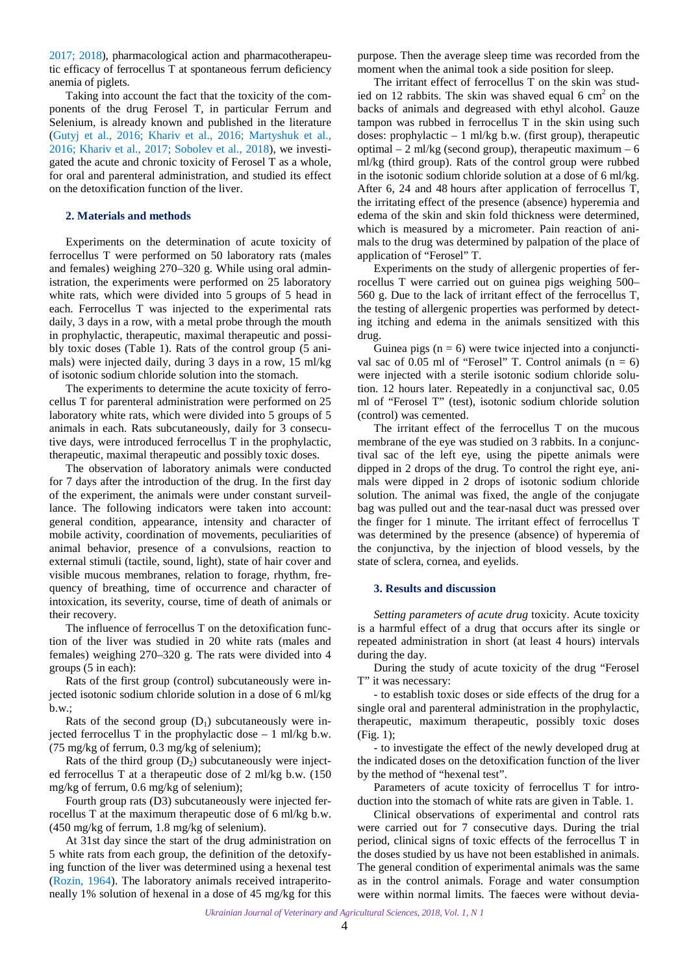<span id="page-1-0"></span>[2017](#page-6-0); [2018](#page-6-0)), pharmacological action and pharmacotherapeutic efficacy of ferrocellus T at spontaneous ferrum deficiency anemia of piglets.

Taking into account the fact that the toxicity of the components of the drug Ferosel T, in particular Ferrum and Selenium, is already known and published in the literature (Gutyj [et al., 2016](#page-6-0); [Khariv et al., 2016](#page-6-0); [Martyshuk et al.,](#page-6-0) [2016;](#page-6-0) [Khariv et al., 2017](#page-6-0); [Sobolev et al., 2018\)](#page-6-0), we investigated the acute and chronic toxicity of Ferosel T as a whole, for oral and parenteral administration, and studied its effect on the detoxification function of the liver.

#### **2. Materials and methods**

Experiments on the determination of acute toxicity of ferrocellus T were performed on 50 laboratory rats (males and females) weighing 270–320 g. While using oral administration, the experiments were performed on 25 laboratory white rats, which were divided into 5 groups of 5 head in each. Ferrocellus T was injected to the experimental rats daily, 3 days in a row, with a metal probe through the mouth in prophylactic, therapeutic, maximal therapeutic and possibly toxic doses (Table 1). Rats of the control group (5 animals) were injected daily, during 3 days in a row, 15 ml/kg of isotonic sodium chloride solution into the stomach.

The experiments to determine the acute toxicity of ferrocellus T for parenteral administration were performed on 25 laboratory white rats, which were divided into 5 groups of 5 animals in each. Rats subcutaneously, daily for 3 consecutive days, were introduced ferrocellus T in the prophylactic, therapeutic, maximal therapeutic and possibly toxic doses.

The observation of laboratory animals were conducted for 7 days after the introduction of the drug. In the first day of the experiment, the animals were under constant surveillance. The following indicators were taken into account: general condition, appearance, intensity and character of mobile activity, coordination of movements, peculiarities of animal behavior, presence of a convulsions, reaction to external stimuli (tactile, sound, light), state of hair cover and visible mucous membranes, relation to forage, rhythm, frequency of breathing, time of occurrence and character of intoxication, its severity, course, time of death of animals or their recovery.

The influence of ferrocellus T on the detoxification function of the liver was studied in 20 white rats (males and females) weighing 270–320 g. The rats were divided into 4 groups (5 in each):

Rats of the first group (control) subcutaneously were injected isotonic sodium chloride solution in a dose of 6 ml/kg b.w.;

Rats of the second group  $(D_1)$  subcutaneously were injected ferrocellus T in the prophylactic dose  $-1$  ml/kg b.w. (75 mg/kg of ferrum, 0.3 mg/kg of selenium);

Rats of the third group  $(D_2)$  subcutaneously were injected ferrocellus T at a therapeutic dose of 2 ml/kg b.w. (150 mg/kg of ferrum, 0.6 mg/kg of selenium);

Fourth group rats (D3) subcutaneously were injected ferrocellus T at the maximum therapeutic dose of 6 ml/kg b.w. (450 mg/kg of ferrum, 1.8 mg/kg of selenium).

At 31st day since the start of the drug administration on 5 white rats from each group, the definition of the detoxifying function of the liver was determined using a hexenal test ([Rozin, 1964\)](#page-6-0). The laboratory animals received intraperitoneally 1% solution of hexenal in a dose of 45 mg/kg for this

purpose. Then the average sleep time was recorded from the moment when the animal took a side position for sleep.

The irritant effect of ferrocellus T on the skin was studied on 12 rabbits. The skin was shaved equal 6  $cm<sup>2</sup>$  on the backs of animals and degreased with ethyl alcohol. Gauze tampon was rubbed in ferrocellus T in the skin using such doses: prophylactic  $-1$  ml/kg b.w. (first group), therapeutic optimal  $-2$  ml/kg (second group), therapeutic maximum  $-6$ ml/kg (third group). Rats of the control group were rubbed in the isotonic sodium chloride solution at a dose of 6 ml/kg. After 6, 24 and 48 hours after application of ferrocellus T, the irritating effect of the presence (absence) hyperemia and edema of the skin and skin fold thickness were determined, which is measured by a micrometer. Pain reaction of animals to the drug was determined by palpation of the place of application of "Ferosel" T.

Experiments on the study of allergenic properties of ferrocellus T were carried out on guinea pigs weighing 500– 560 g. Due to the lack of irritant effect of the ferrocellus T, the testing of allergenic properties was performed by detecting itching and edema in the animals sensitized with this drug.

Guinea pigs  $(n = 6)$  were twice injected into a conjunctival sac of  $0.05$  ml of "Ferosel" T. Control animals  $(n = 6)$ were injected with a sterile isotonic sodium chloride solution. 12 hours later. Repeatedly in a conjunctival sac, 0.05 ml of "Ferosel T" (test), isotonic sodium chloride solution (control) was cemented.

The irritant effect of the ferrocellus T on the mucous membrane of the eye was studied on 3 rabbits. In a conjunctival sac of the left eye, using the pipette animals were dipped in 2 drops of the drug. To control the right eye, animals were dipped in 2 drops of isotonic sodium chloride solution. The animal was fixed, the angle of the conjugate bag was pulled out and the tear-nasal duct was pressed over the finger for 1 minute. The irritant effect of ferrocellus T was determined by the presence (absence) of hyperemia of the conjunctiva, by the injection of blood vessels, by the state of sclera, cornea, and eyelids.

#### **3. Results and discussion**

*Setting parameters of acute drug* toxicity. Acute toxicity is a harmful effect of a drug that occurs after its single or repeated administration in short (at least 4 hours) intervals during the day.

During the study of acute toxicity of the drug "Ferosel T" it was necessary:

- to establish toxic doses or side effects of the drug for a single oral and parenteral administration in the prophylactic, therapeutic, maximum therapeutic, possibly toxic doses (Fig. 1);

- to investigate the effect of the newly developed drug at the indicated doses on the detoxification function of the liver by the method of "hexenal test".

Parameters of acute toxicity of ferrocellus T for introduction into the stomach of white rats are given in Table. 1.

Clinical observations of experimental and control rats were carried out for 7 consecutive days. During the trial period, clinical signs of toxic effects of the ferrocellus T in the doses studied by us have not been established in animals. The general condition of experimental animals was the same as in the control animals. Forage and water consumption were within normal limits. The faeces were without devia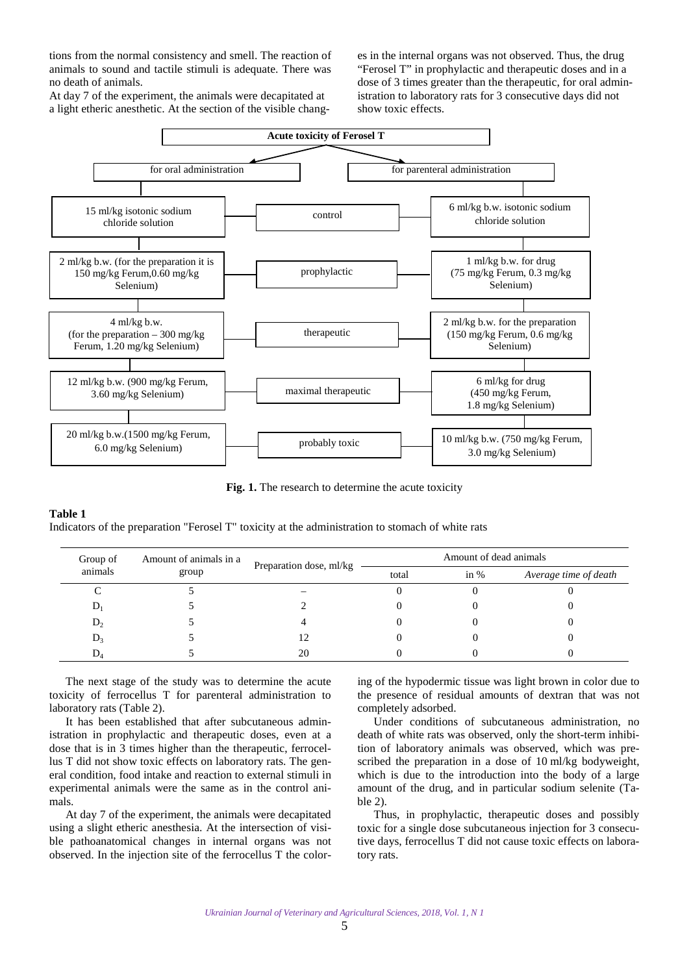tions from the normal consistency and smell. The reaction of animals to sound and tactile stimuli is adequate. There was no death of animals.

At day 7 of the experiment, the animals were decapitated at a light etheric anesthetic. At the section of the visible changes in the internal organs was not observed. Thus, the drug "Ferosel T" in prophylactic and therapeutic doses and in a dose of 3 times greater than the therapeutic, for oral administration to laboratory rats for 3 consecutive days did not show toxic effects.



**Fig. 1.** The research to determine the acute toxicity

### **Table 1**

Indicators of the preparation "Ferosel T" toxicity at the administration to stomach of white rats

| Amount of animals in a<br>Group of |       | Preparation dose, ml/kg | Amount of dead animals |        |                       |  |
|------------------------------------|-------|-------------------------|------------------------|--------|-----------------------|--|
| animals                            | group |                         | total                  | in $%$ | Average time of death |  |
|                                    |       |                         |                        |        |                       |  |
|                                    |       |                         |                        |        |                       |  |
| $D_2$                              |       |                         |                        |        |                       |  |
| $D_3$                              |       | 12                      |                        |        |                       |  |
| D.                                 |       | 20                      |                        |        |                       |  |

The next stage of the study was to determine the acute toxicity of ferrocellus T for parenteral administration to laboratory rats (Table 2).

It has been established that after subcutaneous administration in prophylactic and therapeutic doses, even at a dose that is in 3 times higher than the therapeutic, ferrocellus T did not show toxic effects on laboratory rats. The general condition, food intake and reaction to external stimuli in experimental animals were the same as in the control animals.

At day 7 of the experiment, the animals were decapitated using a slight etheric anesthesia. At the intersection of visible pathoanatomical changes in internal organs was not observed. In the injection site of the ferrocellus T the coloring of the hypodermic tissue was light brown in color due to the presence of residual amounts of dextran that was not completely adsorbed.

Under conditions of subcutaneous administration, no death of white rats was observed, only the short-term inhibition of laboratory animals was observed, which was prescribed the preparation in a dose of 10 ml/kg bodyweight, which is due to the introduction into the body of a large amount of the drug, and in particular sodium selenite (Table 2).

Thus, in prophylactic, therapeutic doses and possibly toxic for a single dose subcutaneous injection for 3 consecutive days, ferrocellus T did not cause toxic effects on laboratory rats.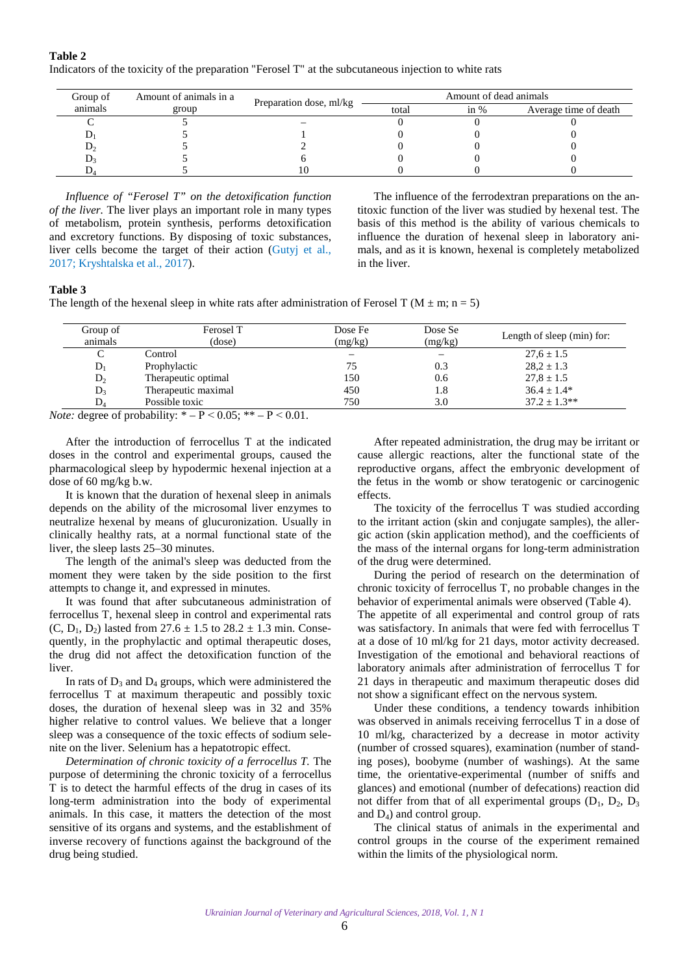**Table 2**  Indicators of the toxicity of the preparation "Ferosel T" at the subcutaneous injection to white rats

| Group of | Amount of animals in a | Preparation dose, ml/kg |       | Amount of dead animals |                       |
|----------|------------------------|-------------------------|-------|------------------------|-----------------------|
| animals  | group                  |                         | total | in $%$                 | Average time of death |
|          |                        |                         |       |                        |                       |
|          |                        |                         |       |                        |                       |
| υ,       |                        |                         |       |                        |                       |
|          |                        |                         |       |                        |                       |
|          |                        |                         |       |                        |                       |

*Influence of "Ferosel T" on the detoxification function of the liver.* The liver plays an important role in many types of metabolism, protein synthesis, performs detoxification and excretory functions. By disposing of toxic substances, liver cells become the target of their action [\(Gutyj et al.,](#page-6-0) [2017; Kryshtalska et al., 2017\)](#page-6-0).

The influence of the ferrodextran preparations on the antitoxic function of the liver was studied by hexenal test. The basis of this method is the ability of various chemicals to influence the duration of hexenal sleep in laboratory animals, and as it is known, hexenal is completely metabolized in the liver.

#### **Table 3**

The length of the hexenal sleep in white rats after administration of Ferosel T ( $M \pm m$ ; n = 5)

| Group of<br>animals | Ferosel T<br>(dose) | Dose Fe<br>(mg/kg) | Dose Se<br>(mg/kg) | Length of sleep (min) for: |
|---------------------|---------------------|--------------------|--------------------|----------------------------|
|                     | Control             | -                  |                    | $27.6 \pm 1.5$             |
| $D_1$               | Prophylactic        | 75                 | 0.3                | $28.2 \pm 1.3$             |
| $D_{2}$             | Therapeutic optimal | 150                | 0.6                | $27.8 \pm 1.5$             |
| $D_3$               | Therapeutic maximal | 450                | 1.8                | $36.4 + 1.4*$              |
| D,                  | Possible toxic      | 750                | 3.0                | $37.2 \pm 1.3**$           |

*Note:* degree of probability:  $* - P < 0.05$ ;  $** - P < 0.01$ .

After the introduction of ferrocellus T at the indicated doses in the control and experimental groups, caused the pharmacological sleep by hypodermic hexenal injection at a dose of 60 mg/kg b.w.

It is known that the duration of hexenal sleep in animals depends on the ability of the microsomal liver enzymes to neutralize hexenal by means of glucuronization. Usually in clinically healthy rats, at a normal functional state of the liver, the sleep lasts 25–30 minutes.

The length of the animal's sleep was deducted from the moment they were taken by the side position to the first attempts to change it, and expressed in minutes.

It was found that after subcutaneous administration of ferrocellus T, hexenal sleep in control and experimental rats (C, D<sub>1</sub>, D<sub>2</sub>) lasted from  $27.6 \pm 1.5$  to  $28.2 \pm 1.3$  min. Consequently, in the prophylactic and optimal therapeutic doses, the drug did not affect the detoxification function of the liver.

In rats of  $D_3$  and  $D_4$  groups, which were administered the ferrocellus T at maximum therapeutic and possibly toxic doses, the duration of hexenal sleep was in 32 and 35% higher relative to control values. We believe that a longer sleep was a consequence of the toxic effects of sodium selenite on the liver. Selenium has a hepatotropic effect.

*Determination of chronic toxicity of a ferrocellus T.* The purpose of determining the chronic toxicity of a ferrocellus T is to detect the harmful effects of the drug in cases of its long-term administration into the body of experimental animals. In this case, it matters the detection of the most sensitive of its organs and systems, and the establishment of inverse recovery of functions against the background of the drug being studied.

After repeated administration, the drug may be irritant or cause allergic reactions, alter the functional state of the reproductive organs, affect the embryonic development of the fetus in the womb or show teratogenic or carcinogenic effects.

The toxicity of the ferrocellus T was studied according to the irritant action (skin and conjugate samples), the allergic action (skin application method), and the coefficients of the mass of the internal organs for long-term administration of the drug were determined.

During the period of research on the determination of chronic toxicity of ferrocellus T, no probable changes in the behavior of experimental animals were observed (Table 4).

The appetite of all experimental and control group of rats was satisfactory. In animals that were fed with ferrocellus T at a dose of 10 ml/kg for 21 days, motor activity decreased. Investigation of the emotional and behavioral reactions of laboratory animals after administration of ferrocellus T for 21 days in therapeutic and maximum therapeutic doses did not show a significant effect on the nervous system.

Under these conditions, a tendency towards inhibition was observed in animals receiving ferrocellus T in a dose of 10 ml/kg, characterized by a decrease in motor activity (number of crossed squares), examination (number of standing poses), boobyme (number of washings). At the same time, the orientative-experimental (number of sniffs and glances) and emotional (number of defecations) reaction did not differ from that of all experimental groups  $(D_1, D_2, D_3)$ and  $D_4$ ) and control group.

The clinical status of animals in the experimental and control groups in the course of the experiment remained within the limits of the physiological norm.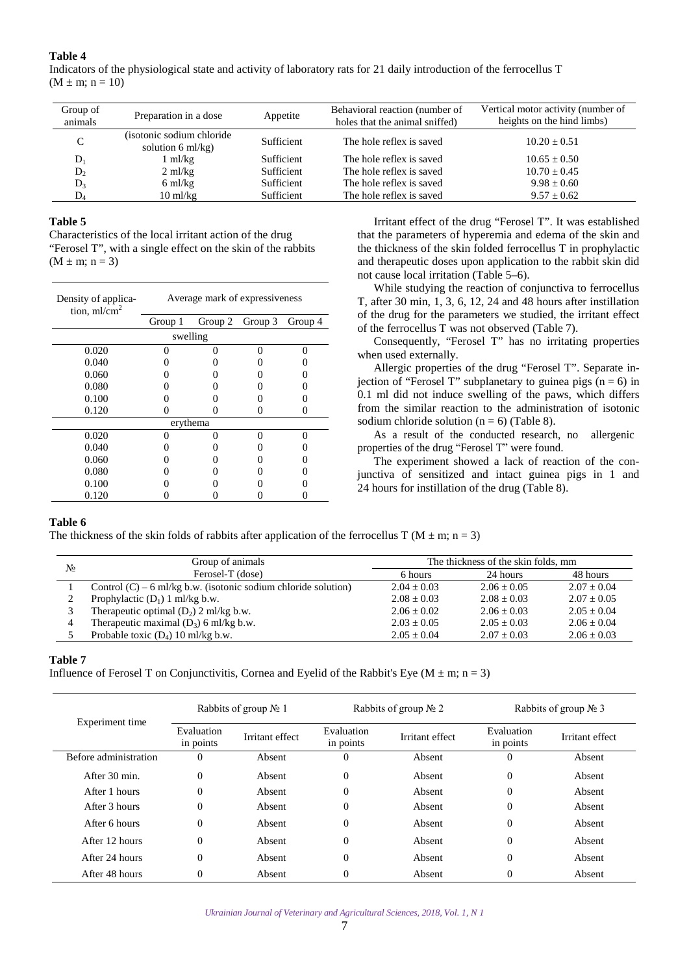## **Table 4**

Indicators of the physiological state and activity of laboratory rats for 21 daily introduction of the ferrocellus T  $(M \pm m; n = 10)$ 

| Group of<br>animals | Preparation in a dose                           | Appetite   | Behavioral reaction (number of<br>holes that the animal sniffed) | Vertical motor activity (number of<br>heights on the hind limbs) |
|---------------------|-------------------------------------------------|------------|------------------------------------------------------------------|------------------------------------------------------------------|
|                     | (isotonic sodium chloride)<br>solution 6 ml/kg) | Sufficient | The hole reflex is saved                                         | $10.20 + 0.51$                                                   |
| D                   | ml/kg                                           | Sufficient | The hole reflex is saved                                         | $10.65 + 0.50$                                                   |
| $D_2$               | $2 \text{ ml/kg}$                               | Sufficient | The hole reflex is saved                                         | $10.70 \pm 0.45$                                                 |
| $\mathbf{D}_3$      | $6 \text{ ml/kg}$                               | Sufficient | The hole reflex is saved                                         | $9.98 + 0.60$                                                    |
| D.                  | $10 \text{ ml/kg}$                              | Sufficient | The hole reflex is saved                                         | $9.57 \pm 0.62$                                                  |

## **Table 5**

Characteristics of the local irritant action of the drug "Ferosel T", with a single effect on the skin of the rabbits  $(M \pm m; n = 3)$ 

| Density of applica-<br>tion, $ml/cm2$ | Average mark of expressiveness |         |         |         |  |
|---------------------------------------|--------------------------------|---------|---------|---------|--|
|                                       | Group 1                        | Group 2 | Group 3 | Group 4 |  |
|                                       | swelling                       |         |         |         |  |
| 0.020                                 |                                | O       | ∩       | ∩       |  |
| 0.040                                 |                                |         |         |         |  |
| 0.060                                 |                                |         |         |         |  |
| 0.080                                 |                                |         |         |         |  |
| 0.100                                 |                                |         |         |         |  |
| 0.120                                 |                                |         |         |         |  |
|                                       | erythema                       |         |         |         |  |
| 0.020                                 |                                |         | U       | ∩       |  |
| 0.040                                 |                                |         |         |         |  |
| 0.060                                 |                                |         |         |         |  |
| 0.080                                 |                                |         |         |         |  |
| 0.100                                 |                                |         |         |         |  |
| 0.120                                 |                                |         |         |         |  |

Irritant effect of the drug "Ferosel T". It was established that the parameters of hyperemia and edema of the skin and the thickness of the skin folded ferrocellus T in prophylactic and therapeutic doses upon application to the rabbit skin did not cause local irritation (Table 5–6).

While studying the reaction of conjunctiva to ferrocellus T, after 30 min, 1, 3, 6, 12, 24 and 48 hours after instillation of the drug for the parameters we studied, the irritant effect of the ferrocellus T was not observed (Table 7).

Consequently, "Ferosel T" has no irritating properties when used externally.

Allergic properties of the drug "Ferosel T". Separate injection of "Ferosel T" subplanetary to guinea pigs  $(n = 6)$  in 0.1 ml did not induce swelling of the paws, which differs from the similar reaction to the administration of isotonic sodium chloride solution ( $n = 6$ ) (Table 8).

As a result of the conducted research, no allergenic properties of the drug "Ferosel T" were found.

The experiment showed a lack of reaction of the conjunctiva of sensitized and intact guinea pigs in 1 and 24 hours for instillation of the drug (Table 8).

### **Table 6**

The thickness of the skin folds of rabbits after application of the ferrocellus T ( $M \pm m$ ; n = 3)

| No | Group of animals                                                 | The thickness of the skin folds, mm |               |                 |  |
|----|------------------------------------------------------------------|-------------------------------------|---------------|-----------------|--|
|    | Ferosel-T (dose)                                                 | 6 hours                             | 24 hours      | 48 hours        |  |
|    | Control $(C)$ – 6 ml/kg b.w. (isotonic sodium chloride solution) | $2.04 + 0.03$                       | $2.06 + 0.05$ | $2.07 + 0.04$   |  |
|    | Prophylactic $(D_1)$ 1 ml/kg b.w.                                | $2.08 + 0.03$                       | $2.08 + 0.03$ | $2.07 + 0.05$   |  |
|    | Therapeutic optimal $(D_2)$ 2 ml/kg b.w.                         | $2.06 + 0.02$                       | $2.06 + 0.03$ | $2.05 + 0.04$   |  |
|    | Therapeutic maximal $(D_3)$ 6 ml/kg b.w.                         | $2.03 \pm 0.05$                     | $2.05 + 0.03$ | $2.06 + 0.04$   |  |
|    | Probable toxic $(D_4)$ 10 ml/kg b.w.                             | $2.05 \pm 0.04$                     | $2.07 + 0.03$ | $2.06 \pm 0.03$ |  |

## **Table 7**

Influence of Ferosel T on Conjunctivitis, Cornea and Eyelid of the Rabbit's Eye ( $M \pm m$ ; n = 3)

|                       | Rabbits of group $N_2$ 1 |                 | Rabbits of group $N_2$ 2 |                 | Rabbits of group $N_2$ 3 |                 |
|-----------------------|--------------------------|-----------------|--------------------------|-----------------|--------------------------|-----------------|
| Experiment time       | Evaluation<br>in points  | Irritant effect | Evaluation<br>in points  | Irritant effect | Evaluation<br>in points  | Irritant effect |
| Before administration | $\Omega$                 | Absent          | $\Omega$                 | Absent          | $\theta$                 | Absent          |
| After 30 min.         | $\Omega$                 | Absent          | $\theta$                 | Absent          | $\theta$                 | Absent          |
| After 1 hours         | $\Omega$                 | Absent          | $\theta$                 | Absent          | $\theta$                 | Absent          |
| After 3 hours         | $\Omega$                 | Absent          | $\theta$                 | Absent          | $\theta$                 | Absent          |
| After 6 hours         | $\Omega$                 | Absent          | $\Omega$                 | Absent          | $\theta$                 | Absent          |
| After 12 hours        | $\Omega$                 | Absent          | $\Omega$                 | Absent          | $\theta$                 | Absent          |
| After 24 hours        | $\Omega$                 | Absent          | $\theta$                 | Absent          | $\theta$                 | Absent          |
| After 48 hours        | $\Omega$                 | Absent          | $\theta$                 | Absent          | $\theta$                 | Absent          |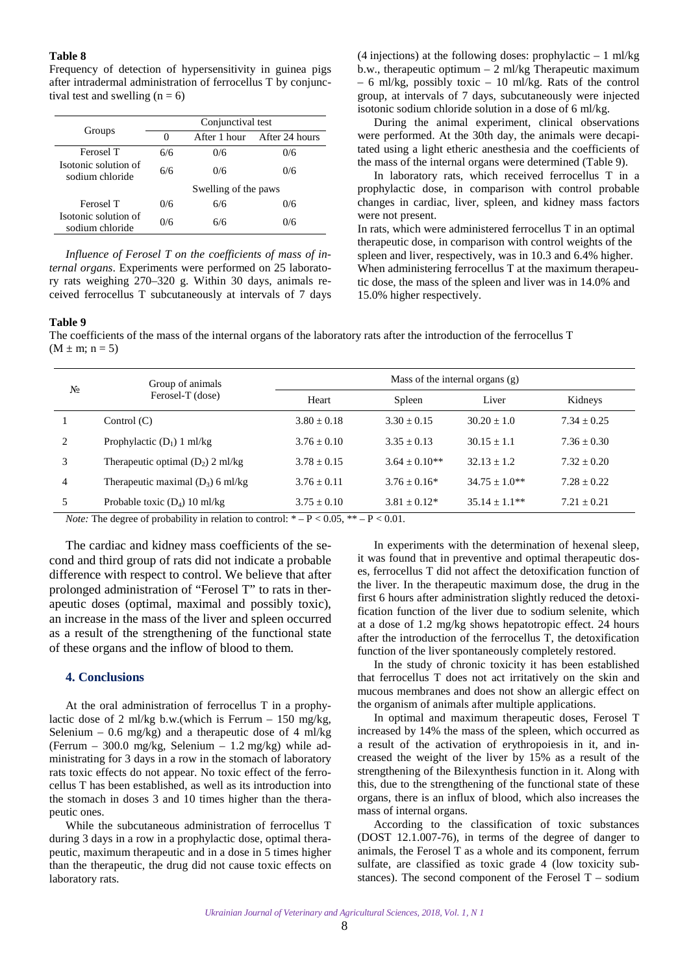#### <span id="page-5-0"></span>**Table 8**

Frequency of detection of hypersensitivity in guinea pigs after intradermal administration of ferrocellus T by conjunctival test and swelling  $(n = 6)$ 

|                                         | Conjunctival test |                      |                |  |  |
|-----------------------------------------|-------------------|----------------------|----------------|--|--|
| Groups                                  | $\mathbf{0}$      | After 1 hour         | After 24 hours |  |  |
| Ferosel T                               | 6/6               | 0/6                  | 0/6            |  |  |
| Isotonic solution of<br>sodium chloride | 6/6               | 0/6                  | 0/6            |  |  |
|                                         |                   | Swelling of the paws |                |  |  |
| Ferosel T                               | 0/6               | 6/6                  | 0/6            |  |  |
| Isotonic solution of<br>sodium chloride | 0/6               | 6/6                  | 0/6            |  |  |

*Influence of Ferosel T on the coefficients of mass of internal organs*. Experiments were performed on 25 laboratory rats weighing 270–320 g. Within 30 days, animals received ferrocellus T subcutaneously at intervals of 7 days (4 injections) at the following doses: prophylactic – 1 ml/kg b.w., therapeutic optimum – 2 ml/kg Therapeutic maximum – 6 ml/kg, possibly toxic – 10 ml/kg. Rats of the control group, at intervals of 7 days, subcutaneously were injected isotonic sodium chloride solution in a dose of 6 ml/kg.

During the animal experiment, clinical observations were performed. At the 30th day, the animals were decapitated using a light etheric anesthesia and the coefficients of the mass of the internal organs were determined (Table 9).

In laboratory rats, which received ferrocellus T in a prophylactic dose, in comparison with control probable changes in cardiac, liver, spleen, and kidney mass factors were not present.

In rats, which were administered ferrocellus T in an optimal therapeutic dose, in comparison with control weights of the spleen and liver, respectively, was in 10.3 and 6.4% higher. When administering ferrocellus T at the maximum therapeutic dose, the mass of the spleen and liver was in 14.0% and 15.0% higher respectively.

### **Table 9**

The coefficients of the mass of the internal organs of the laboratory rats after the introduction of the ferrocellus T  $(M \pm m; n = 5)$ 

| N <sub>2</sub> | Group of animals<br>Ferosel-T (dose) |                 | Mass of the internal organs $(g)$ |                   |               |  |  |
|----------------|--------------------------------------|-----------------|-----------------------------------|-------------------|---------------|--|--|
|                |                                      | Heart           | Spleen                            | Liver             | Kidneys       |  |  |
|                | Control $(C)$                        | $3.80 \pm 0.18$ | $3.30 + 0.15$                     | $30.20 + 1.0$     | $7.34 + 0.25$ |  |  |
| $\mathfrak{D}$ | Prophylactic $(D_1)$ 1 ml/kg         | $3.76 + 0.10$   | $3.35 + 0.13$                     | $30.15 + 1.1$     | $7.36 + 0.30$ |  |  |
|                | Therapeutic optimal $(D_2)$ 2 ml/kg  | $3.78 + 0.15$   | $3.64 + 0.10**$                   | $32.13 + 1.2$     | $7.32 + 0.20$ |  |  |
| $\overline{4}$ | Therapeutic maximal $(D_3)$ 6 ml/kg  | $3.76 + 0.11$   | $3.76 + 0.16*$                    | $34.75 + 1.0**$   | $7.28 + 0.22$ |  |  |
|                | Probable toxic $(D_4)$ 10 ml/kg      | $3.75 \pm 0.10$ | $3.81 \pm 0.12^*$                 | $35.14 \pm 1.1**$ | $7.21 + 0.21$ |  |  |

*Note:* The degree of probability in relation to control:  $* - P < 0.05$ ,  $* - P < 0.01$ .

The cardiac and kidney mass coefficients of the second and third group of rats did not indicate a probable difference with respect to control. We believe that after prolonged administration of "Ferosel T" to rats in therapeutic doses (optimal, maximal and possibly toxic), an increase in the mass of the liver and spleen occurred as a result of the strengthening of the functional state of these organs and the inflow of blood to them.

## **4. Conclusions**

At the oral administration of ferrocellus T in a prophylactic dose of 2 ml/kg b.w.(which is Ferrum  $-150$  mg/kg, Selenium – 0.6 mg/kg) and a therapeutic dose of 4 ml/kg (Ferrum – 300.0 mg/kg, Selenium – 1.2 mg/kg) while administrating for 3 days in a row in the stomach of laboratory rats toxic effects do not appear. No toxic effect of the ferrocellus T has been established, as well as its introduction into the stomach in doses 3 and 10 times higher than the therapeutic ones.

While the subcutaneous administration of ferrocellus T during 3 days in a row in a prophylactic dose, optimal therapeutic, maximum therapeutic and in a dose in 5 times higher than the therapeutic, the drug did not cause toxic effects on laboratory rats.

In experiments with the determination of hexenal sleep, it was found that in preventive and optimal therapeutic doses, ferrocellus T did not affect the detoxification function of the liver. In the therapeutic maximum dose, the drug in the first 6 hours after administration slightly reduced the detoxification function of the liver due to sodium selenite, which at a dose of 1.2 mg/kg shows hepatotropic effect. 24 hours after the introduction of the ferrocellus T, the detoxification function of the liver spontaneously completely restored.

In the study of chronic toxicity it has been established that ferrocellus T does not act irritatively on the skin and mucous membranes and does not show an allergic effect on the organism of animals after multiple applications.

In optimal and maximum therapeutic doses, Ferosel T increased by 14% the mass of the spleen, which occurred as a result of the activation of erythropoiesis in it, and increased the weight of the liver by 15% as a result of the strengthening of the Bilexynthesis function in it. Along with this, due to the strengthening of the functional state of these organs, there is an influx of blood, which also increases the mass of internal organs.

According to the classification of toxic substances (DOST 12.1.007-76), in terms of the degree of danger to animals, the Ferosel T as a whole and its component, ferrum sulfate, are classified as toxic grade 4 (low toxicity substances). The second component of the Ferosel  $T -$  sodium